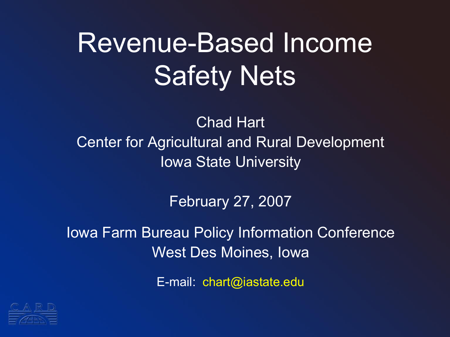# Revenue-Based Income Safety Nets

Chad Hart Center for Agricultural and Rural Development Iowa State University

February 27, 2007

Iowa Farm Bureau Policy Information Conference West Des Moines, Iowa

E-mail: chart@iastate.edu

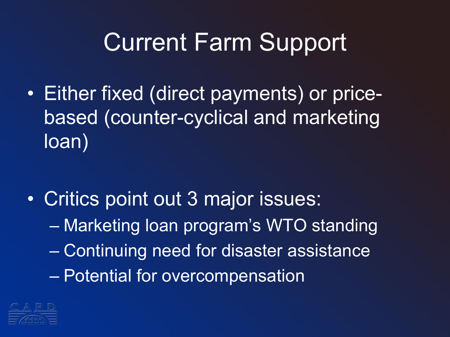## Current Farm Support

- Either fixed (direct payments) or pricebased (counter-cyclical and marketing loan)
- Critics point out 3 major issues: – Marketing loan program's WTO standing – Continuing need for disaster assistance – Potential for overcompensation

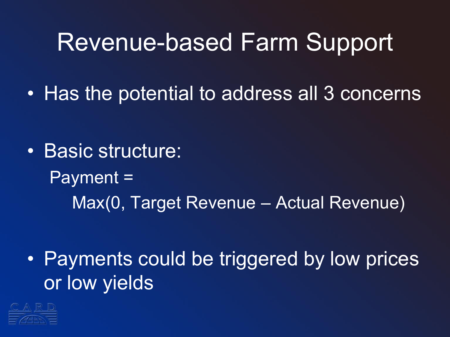#### Revenue-based Farm Support

• Has the potential to address all 3 concerns

• Basic structure: Payment = Max(0, Target Revenue – Actual Revenue)

• Payments could be triggered by low prices or low yields

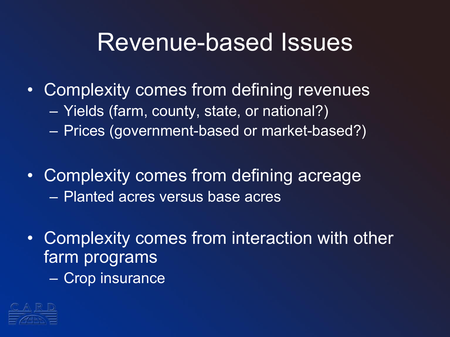#### Revenue-based Issues

- Complexity comes from defining revenues
	- Yields (farm, county, state, or national?)
	- Prices (government-based or market-based?)
- Complexity comes from defining acreage – Planted acres versus base acres
- Complexity comes from interaction with other farm programs
	- Crop insurance

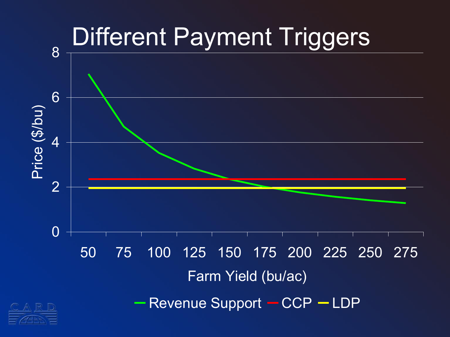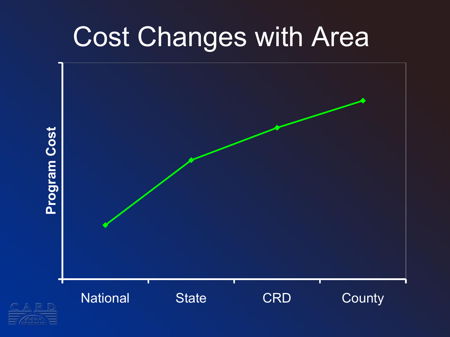## Cost Changes with Area

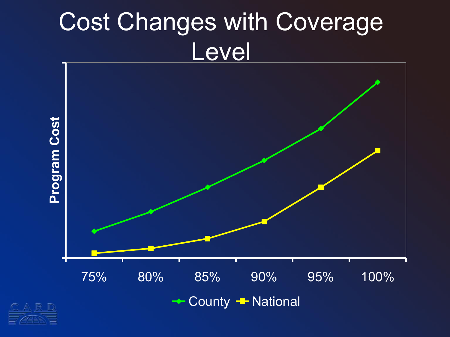## Cost Changes with Coverage Level



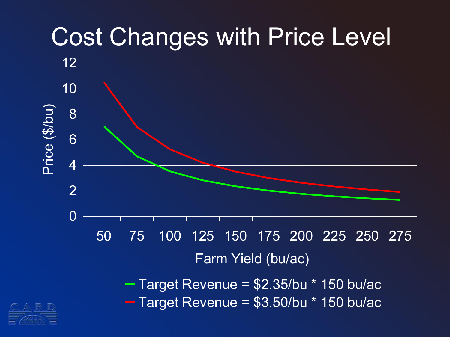## Cost Changes with Price Level



 $-$  Target Revenue =  $$2.35/bu * 150$  bu/ac  $-$  Target Revenue =  $$3.50/bu * 150 bu/ac$